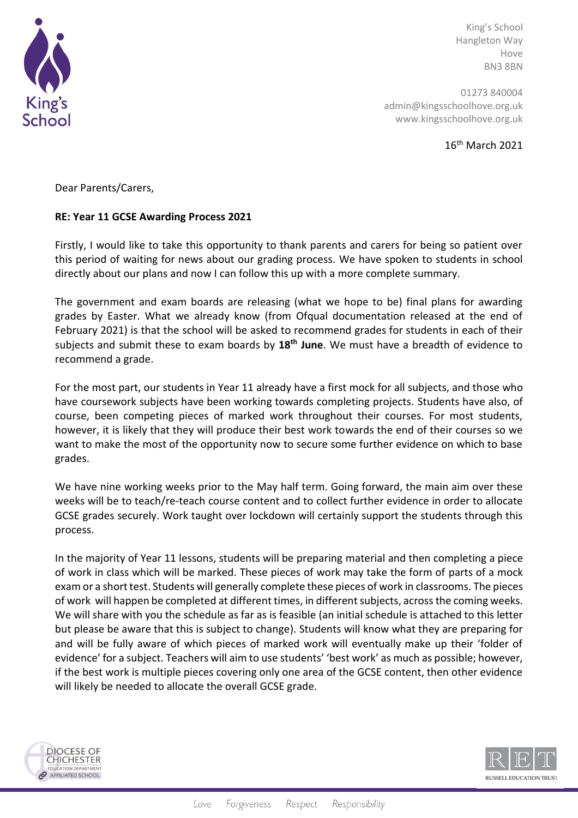

King's School Hangleton Way Hove BN3 8BN

01273 840004 admin@kingsschoolhove.org.uk www.kingsschoolhove.org.uk

16th March 2021

Dear Parents/Carers,

## **RE: Year 11 GCSE Awarding Process 2021**

Firstly, I would like to take this opportunity to thank parents and carers for being so patient over this period of waiting for news about our grading process. We have spoken to students in school directly about our plans and now I can follow this up with a more complete summary.

The government and exam boards are releasing (what we hope to be) final plans for awarding grades by Easter. What we already know (from Ofqual documentation released at the end of February 2021) is that the school will be asked to recommend grades for students in each of their subjects and submit these to exam boards by **18th June**. We must have a breadth of evidence to recommend a grade.

For the most part, our students in Year 11 already have a first mock for all subjects, and those who have coursework subjects have been working towards completing projects. Students have also, of course, been competing pieces of marked work throughout their courses. For most students, however, it is likely that they will produce their best work towards the end of their courses so we want to make the most of the opportunity now to secure some further evidence on which to base grades.

We have nine working weeks prior to the May half term. Going forward, the main aim over these weeks will be to teach/re-teach course content and to collect further evidence in order to allocate GCSE grades securely. Work taught over lockdown will certainly support the students through this process.

In the majority of Year 11 lessons, students will be preparing material and then completing a piece of work in class which will be marked. These pieces of work may take the form of parts of a mock exam or a short test. Students will generally complete these pieces of work in classrooms. The pieces of work will happen be completed at different times, in different subjects, across the coming weeks. We will share with you the schedule as far as is feasible (an initial schedule is attached to this letter but please be aware that this is subject to change). Students will know what they are preparing for and will be fully aware of which pieces of marked work will eventually make up their 'folder of evidence' for a subject. Teachers will aim to use students' 'best work' as much as possible; however, if the best work is multiple pieces covering only one area of the GCSE content, then other evidence will likely be needed to allocate the overall GCSE grade.